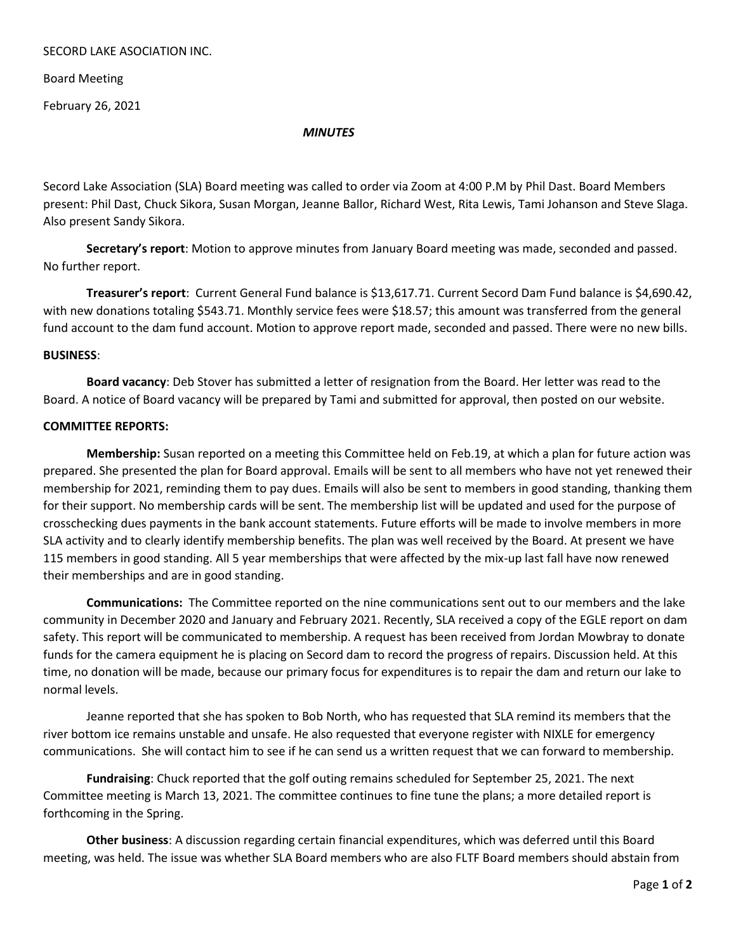## SECORD LAKE ASOCIATION INC.

Board Meeting

February 26, 2021

## *MINUTES*

Secord Lake Association (SLA) Board meeting was called to order via Zoom at 4:00 P.M by Phil Dast. Board Members present: Phil Dast, Chuck Sikora, Susan Morgan, Jeanne Ballor, Richard West, Rita Lewis, Tami Johanson and Steve Slaga. Also present Sandy Sikora.

**Secretary's report**: Motion to approve minutes from January Board meeting was made, seconded and passed. No further report.

**Treasurer's report**: Current General Fund balance is \$13,617.71. Current Secord Dam Fund balance is \$4,690.42, with new donations totaling \$543.71. Monthly service fees were \$18.57; this amount was transferred from the general fund account to the dam fund account. Motion to approve report made, seconded and passed. There were no new bills.

## **BUSINESS**:

**Board vacancy**: Deb Stover has submitted a letter of resignation from the Board. Her letter was read to the Board. A notice of Board vacancy will be prepared by Tami and submitted for approval, then posted on our website.

## **COMMITTEE REPORTS:**

**Membership:** Susan reported on a meeting this Committee held on Feb.19, at which a plan for future action was prepared. She presented the plan for Board approval. Emails will be sent to all members who have not yet renewed their membership for 2021, reminding them to pay dues. Emails will also be sent to members in good standing, thanking them for their support. No membership cards will be sent. The membership list will be updated and used for the purpose of crosschecking dues payments in the bank account statements. Future efforts will be made to involve members in more SLA activity and to clearly identify membership benefits. The plan was well received by the Board. At present we have 115 members in good standing. All 5 year memberships that were affected by the mix-up last fall have now renewed their memberships and are in good standing.

**Communications:** The Committee reported on the nine communications sent out to our members and the lake community in December 2020 and January and February 2021. Recently, SLA received a copy of the EGLE report on dam safety. This report will be communicated to membership. A request has been received from Jordan Mowbray to donate funds for the camera equipment he is placing on Secord dam to record the progress of repairs. Discussion held. At this time, no donation will be made, because our primary focus for expenditures is to repair the dam and return our lake to normal levels.

Jeanne reported that she has spoken to Bob North, who has requested that SLA remind its members that the river bottom ice remains unstable and unsafe. He also requested that everyone register with NIXLE for emergency communications. She will contact him to see if he can send us a written request that we can forward to membership.

**Fundraising**: Chuck reported that the golf outing remains scheduled for September 25, 2021. The next Committee meeting is March 13, 2021. The committee continues to fine tune the plans; a more detailed report is forthcoming in the Spring.

**Other business**: A discussion regarding certain financial expenditures, which was deferred until this Board meeting, was held. The issue was whether SLA Board members who are also FLTF Board members should abstain from